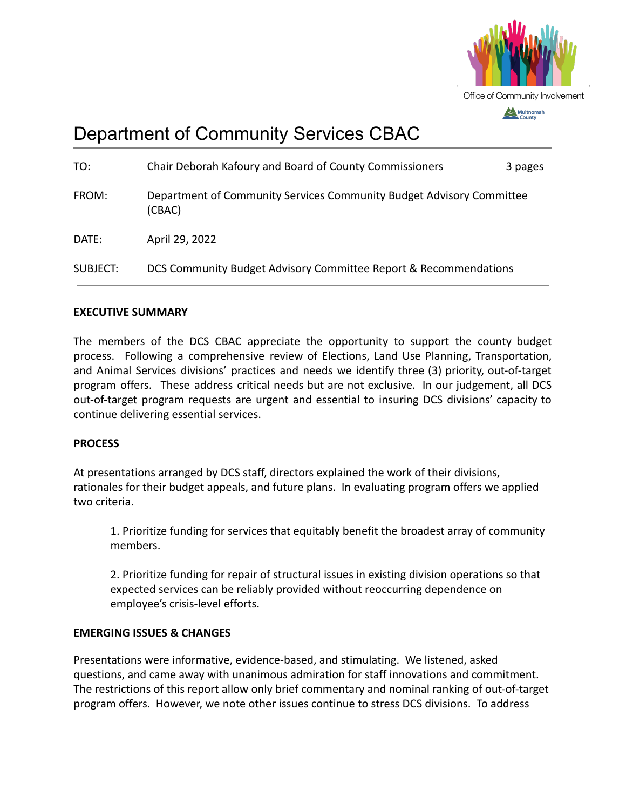

# Department of Community Services CBAC

| TO:      | Chair Deborah Kafoury and Board of County Commissioners                        | 3 pages |
|----------|--------------------------------------------------------------------------------|---------|
| FROM:    | Department of Community Services Community Budget Advisory Committee<br>(CBAC) |         |
| DATE:    | April 29, 2022                                                                 |         |
| SUBJECT: | DCS Community Budget Advisory Committee Report & Recommendations               |         |

#### **EXECUTIVE SUMMARY**

The members of the DCS CBAC appreciate the opportunity to support the county budget process. Following a comprehensive review of Elections, Land Use Planning, Transportation, and Animal Services divisions' practices and needs we identify three (3) priority, out-of-target program offers. These address critical needs but are not exclusive. In our judgement, all DCS out-of-target program requests are urgent and essential to insuring DCS divisions' capacity to continue delivering essential services.

#### **PROCESS**

At presentations arranged by DCS staff, directors explained the work of their divisions, rationales for their budget appeals, and future plans. In evaluating program offers we applied two criteria.

1. Prioritize funding for services that equitably benefit the broadest array of community members.

2. Prioritize funding for repair of structural issues in existing division operations so that expected services can be reliably provided without reoccurring dependence on employee's crisis-level efforts.

#### **EMERGING ISSUES & CHANGES**

Presentations were informative, evidence-based, and stimulating. We listened, asked questions, and came away with unanimous admiration for staff innovations and commitment. The restrictions of this report allow only brief commentary and nominal ranking of out-of-target program offers. However, we note other issues continue to stress DCS divisions. To address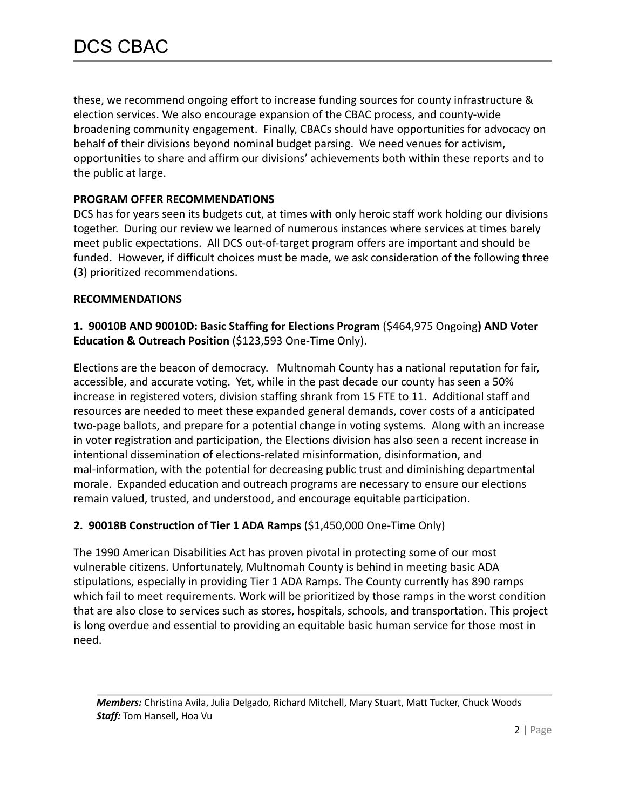these, we recommend ongoing effort to increase funding sources for county infrastructure & election services. We also encourage expansion of the CBAC process, and county-wide broadening community engagement. Finally, CBACs should have opportunities for advocacy on behalf of their divisions beyond nominal budget parsing. We need venues for activism, opportunities to share and affirm our divisions' achievements both within these reports and to the public at large.

## **PROGRAM OFFER RECOMMENDATIONS**

DCS has for years seen its budgets cut, at times with only heroic staff work holding our divisions together. During our review we learned of numerous instances where services at times barely meet public expectations. All DCS out-of-target program offers are important and should be funded. However, if difficult choices must be made, we ask consideration of the following three (3) prioritized recommendations.

## **RECOMMENDATIONS**

**1. 90010B AND 90010D: Basic Staffing for Elections Program** (\$464,975 Ongoing**) AND Voter Education & Outreach Position** (\$123,593 One-Time Only).

Elections are the beacon of democracy. Multnomah County has a national reputation for fair, accessible, and accurate voting. Yet, while in the past decade our county has seen a 50% increase in registered voters, division staffing shrank from 15 FTE to 11. Additional staff and resources are needed to meet these expanded general demands, cover costs of a anticipated two-page ballots, and prepare for a potential change in voting systems. Along with an increase in voter registration and participation, the Elections division has also seen a recent increase in intentional dissemination of elections-related misinformation, disinformation, and mal-information, with the potential for decreasing public trust and diminishing departmental morale. Expanded education and outreach programs are necessary to ensure our elections remain valued, trusted, and understood, and encourage equitable participation.

# **2. 90018B Construction of Tier 1 ADA Ramps** (\$1,450,000 One-Time Only)

The 1990 American Disabilities Act has proven pivotal in protecting some of our most vulnerable citizens. Unfortunately, Multnomah County is behind in meeting basic ADA stipulations, especially in providing Tier 1 ADA Ramps. The County currently has 890 ramps which fail to meet requirements. Work will be prioritized by those ramps in the worst condition that are also close to services such as stores, hospitals, schools, and transportation. This project is long overdue and essential to providing an equitable basic human service for those most in need.